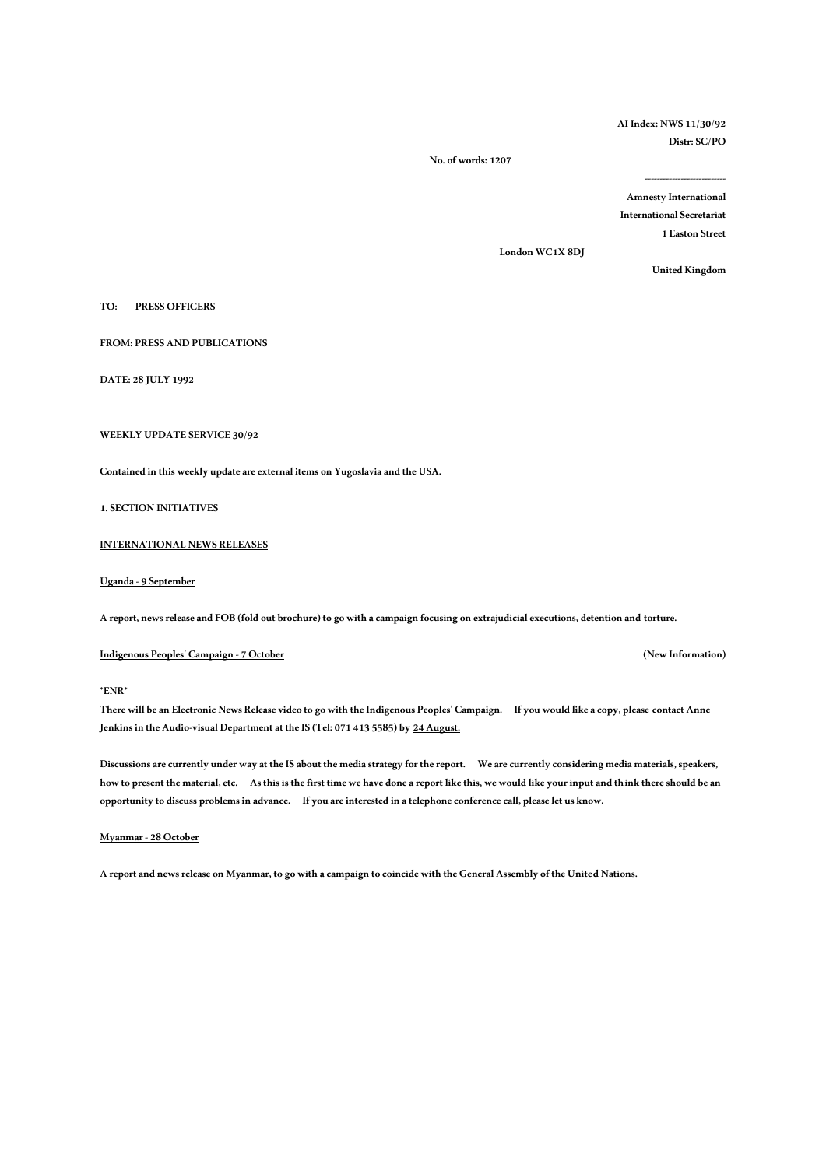**AI Index: NWS 11/30/92 Distr: SC/PO** 

 **No. of words: 1207**

**--------------------------- Amnesty International** 

**International Secretariat** 

**1 Easton Street** 

**London WC1X 8DJ** 

**United Kingdom** 

**TO: PRESS OFFICERS** 

**FROM: PRESS AND PUBLICATIONS**

**DATE: 28 JULY 1992**

# **WEEKLY UPDATE SERVICE 30/92**

**Contained in this weekly update are external items on Yugoslavia and the USA.**

**1. SECTION INITIATIVES**

**INTERNATIONAL NEWS RELEASES**

**Uganda -9 September**

**A report, news release and FOB (fold out brochure) to go with a campaign focusing on extrajudicial executions, detention and torture.**

**Indigenous Peoples' Campaign -7 October (New Information)**

**\*ENR\***

**There will be an Electronic News Release video to go with the Indigenous Peoples' Campaign. If you would like a copy, please contact Anne Jenkins in the Audio-visual Department at the IS (Tel: 071 413 5585) by 24 August.**

**Discussions are currently under way at the IS about the media strategy for the report. We are currently considering media materials, speakers, how to present the material, etc. As this is the first time we have done a report like this, we would like your input and think there should be an opportunity to discuss problems in advance. If you are interested in a telephone conference call, please let us know.**

#### **Myanmar -28 October**

**A report and news release on Myanmar, to go with a campaign to coincide with the General Assembly of the United Nations.**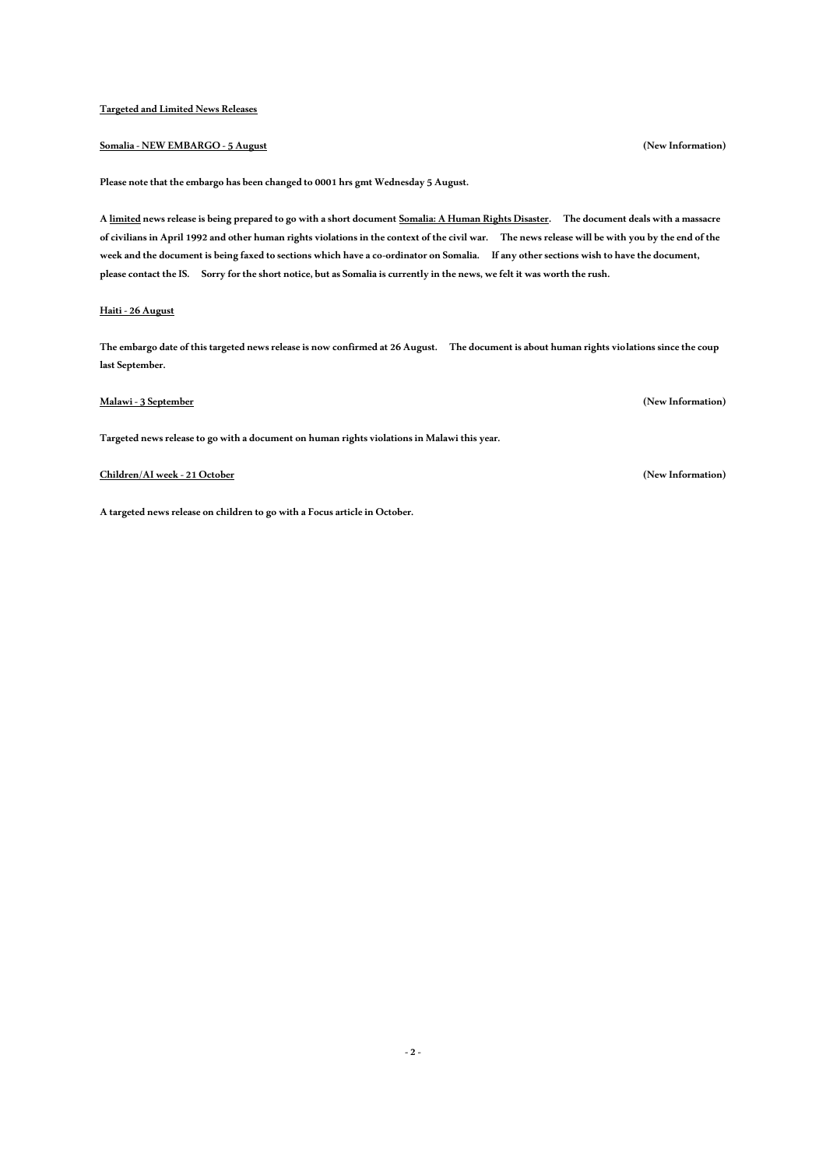## **Targeted and Limited News Releases**

# **Somalia - NEW EMBARGO -5 August (New Information)**

**Please note that the embargo has been changed to 0001 hrs gmt Wednesday 5 August.**

**A limited news release is being prepared to go with a short document Somalia: A Human Rights Disaster. The document deals with a massacre of civilians in April 1992 and other human rights violations in the context of the civil war. The news release will be with you by the end of the week and the document is being faxed to sections which have a co-ordinator on Somalia. If any other sections wish to have the document,**  please contact the IS. Sorry for the short notice, but as Somalia is currently in the news, we felt it was worth the rush.

## **Haiti -26 August**

**The embargo date of this targeted news release is now confirmed at 26 August. The document is about human rights violations since the coup last September.** 

# **Malawi -3 September (New Information)**

**Targeted news release to go with a document on human rights violations in Malawi this year.**

### **Children/AI week -21 October (New Information)**

**A targeted news release on children to go with a Focus article in October.**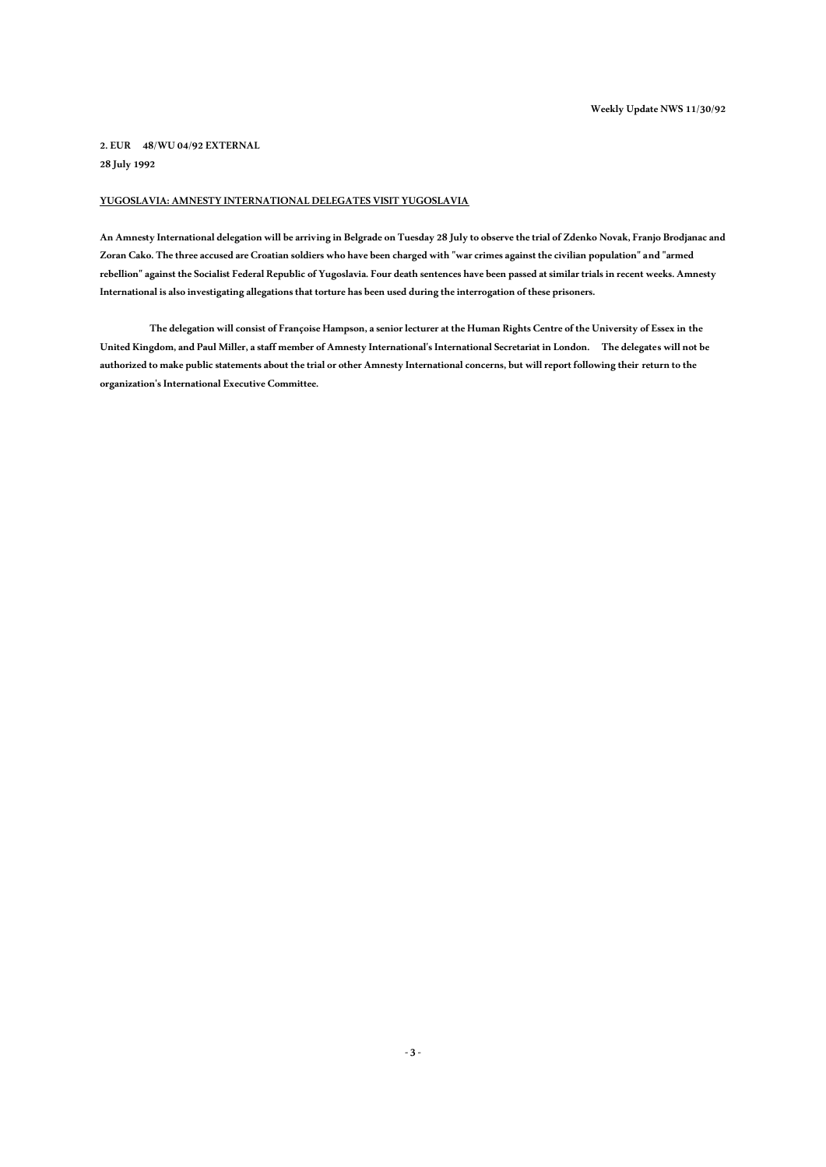**2. EUR 48/WU 04/92 EXTERNAL 28 July 1992**

# **YUGOSLAVIA: AMNESTY INTERNATIONAL DELEGATES VISIT YUGOSLAVIA**

**An Amnesty International delegation will be arriving in Belgrade on Tuesday 28 July to observe the trial of Zdenko Novak, Franjo Brodjanac and Zoran Cako. The three accused are Croatian soldiers who have been charged with "war crimes against the civilian population" and "armed rebellion" against the Socialist Federal Republic of Yugoslavia. Four death sentences have been passed at similar trials in recent weeks. Amnesty International is also investigating allegations that torture has been used during the interrogation of these prisoners.**

**The delegation will consist of Françoise Hampson, a senior lecturer at the Human Rights Centre of the University of Essex in the United Kingdom, and Paul Miller, a staff member of Amnesty International's International Secretariat in London. The delegates will not be authorized to make public statements about the trial or other Amnesty International concerns, but will report following their return to the organization's International Executive Committee.**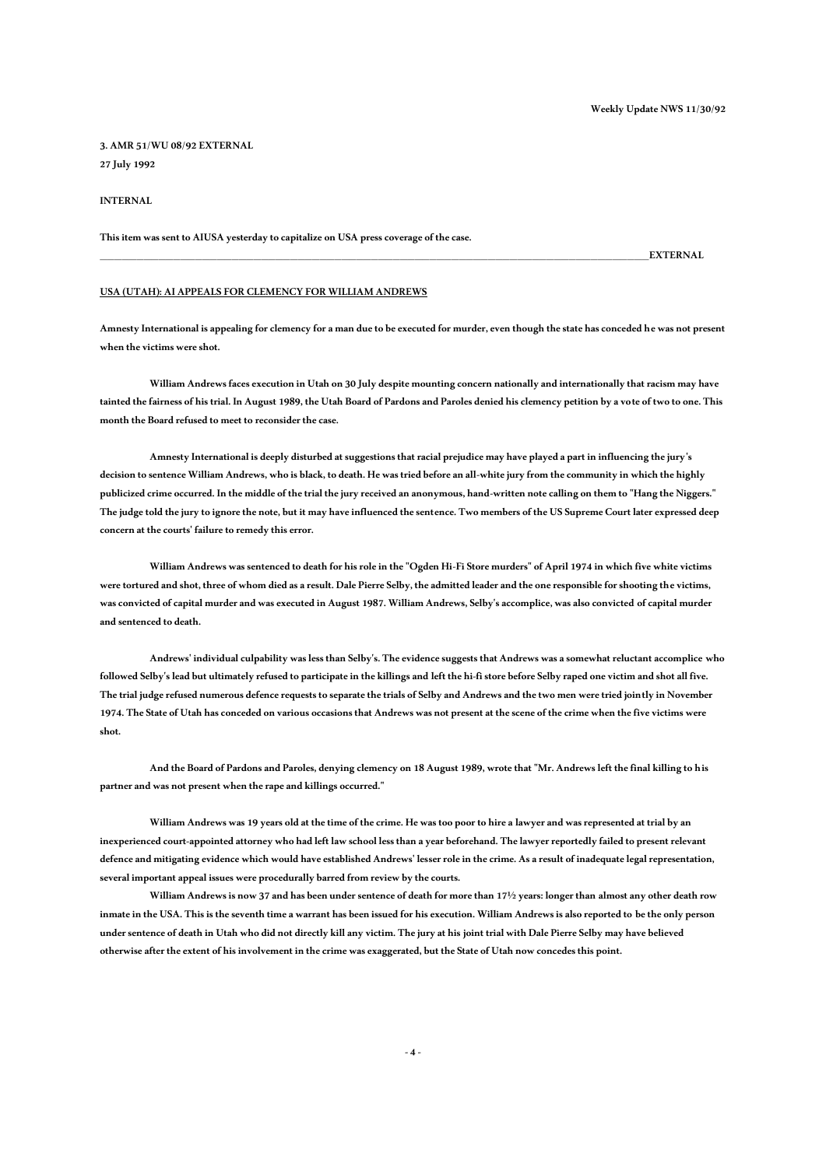**3. AMR 51/WU 08/92 EXTERNAL 27 July 1992**

## **INTERNAL**

**This item was sent to AIUSA yesterday to capitalize on USA press coverage of the case.**

**\_\_\_\_\_\_\_\_\_\_\_\_\_\_\_\_\_\_\_\_\_\_\_\_\_\_\_\_\_\_\_\_\_\_\_\_\_\_\_\_\_\_\_\_\_\_\_\_\_\_\_\_\_\_\_\_\_\_\_\_\_\_\_\_\_\_\_\_\_\_\_\_\_\_\_EXTERNAL**

### **USA (UTAH): AI APPEALS FOR CLEMENCY FOR WILLIAM ANDREWS**

**Amnesty International is appealing for clemency for a man due to be executed for murder, even though the state has conceded he was not present when the victims were shot.**

**William Andrews faces execution in Utah on 30 July despite mounting concern nationally and internationally that racism may have tainted the fairness of his trial. In August 1989, the Utah Board of Pardons and Paroles denied his clemency petition by a vote of two to one. This**  month the Board refused to meet to reconsider the case.

**Amnesty International is deeply disturbed at suggestions that racial prejudice may have played a part in influencing the jury's decision to sentence William Andrews, who is black, to death. He was tried before an all-white jury from the community in which the highly publicized crime occurred. In the middle of the trial the jury received an anonymous, hand-written note calling on them to "Hang the Niggers." The judge told the jury to ignore the note, but it may have influenced the sentence. Two members of the US Supreme Court later expressed deep concern at the courts' failure to remedy this error.** 

**William Andrews was sentenced to death for his role in the "Ogden Hi-Fi Store murders" of April 1974 in which five white victims were tortured and shot, three of whom died as a result. Dale Pierre Selby, the admitted leader and the one responsible for shooting the victims, was convicted of capital murder and was executed in August 1987. William Andrews, Selby's accomplice, was also convicted of capital murder and sentenced to death.** 

**Andrews' individual culpability was less than Selby's. The evidence suggests that Andrews was a somewhat reluctant accomplice who followed Selby's lead but ultimately refused to participate in the killings and left the hi-fi store before Selby raped one victim and shot all five. The trial judge refused numerous defence requests to separate the trials of Selby and Andrews and the two men were tried jointly in November 1974. The State of Utah has conceded on various occasions that Andrews was not present at the scene of the crime when the five victims were shot.** 

**And the Board of Pardons and Paroles, denying clemency on 18 August 1989, wrote that "Mr. Andrews left the final killing to his partner and was not present when the rape and killings occurred."**

**William Andrews was 19 years old at the time of the crime. He was too poor to hire a lawyer and was represented at trial by an inexperienced court-appointed attorney who had left law school less than a year beforehand. The lawyer reportedly failed to present relevant defence and mitigating evidence which would have established Andrews' lesser role in the crime. As a result of inadequate legal representation, several important appeal issues were procedurally barred from review by the courts.** 

**William Andrews is now 37 and has been under sentence of death for more than 17½ years: longer than almost any other death row inmate in the USA. This is the seventh time a warrant has been issued for his execution. William Andrews is also reported to be the only person under sentence of death in Utah who did not directly kill any victim. The jury at his joint trial with Dale Pierre Selby may have believed otherwise after the extent of his involvement in the crime was exaggerated, but the State of Utah now concedes this point.**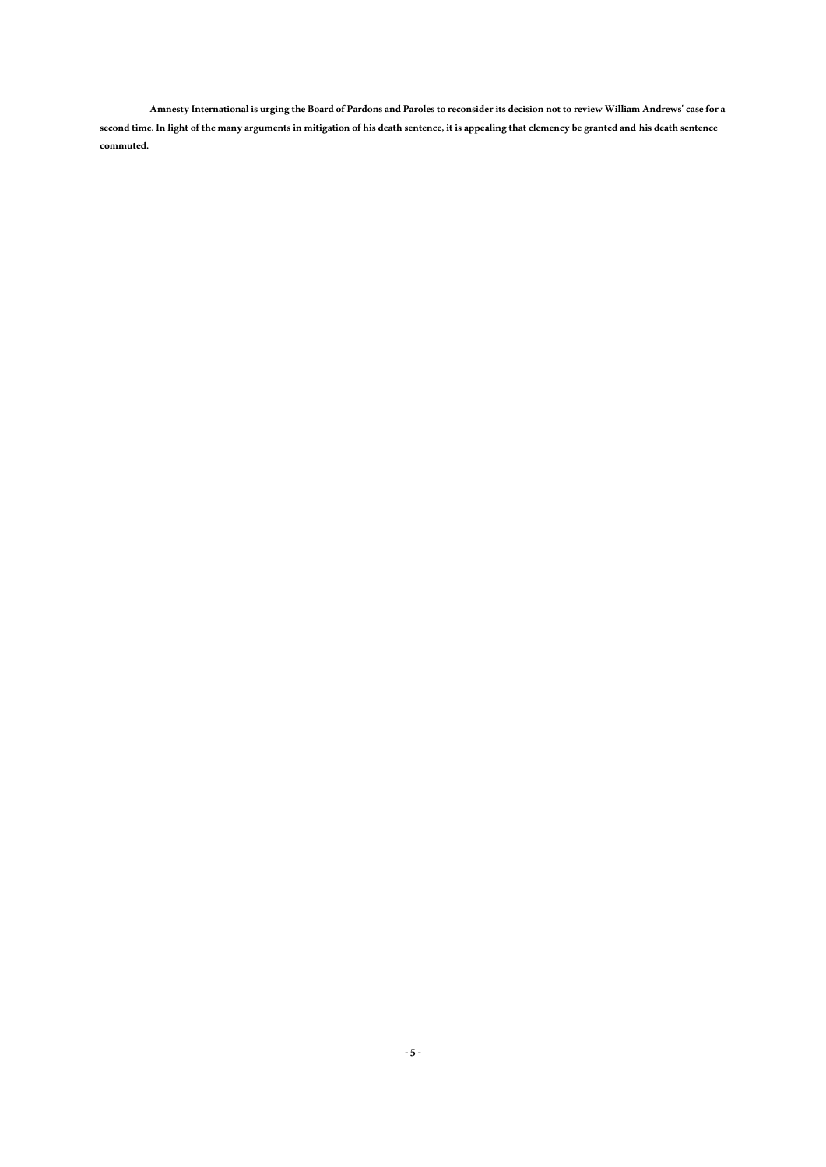**Amnesty International is urging the Board of Pardons and Paroles to reconsider its decision not to review William Andrews' case for a second time. In light of the many arguments in mitigation of his death sentence, it is appealing that clemency be granted and his death sentence commuted.**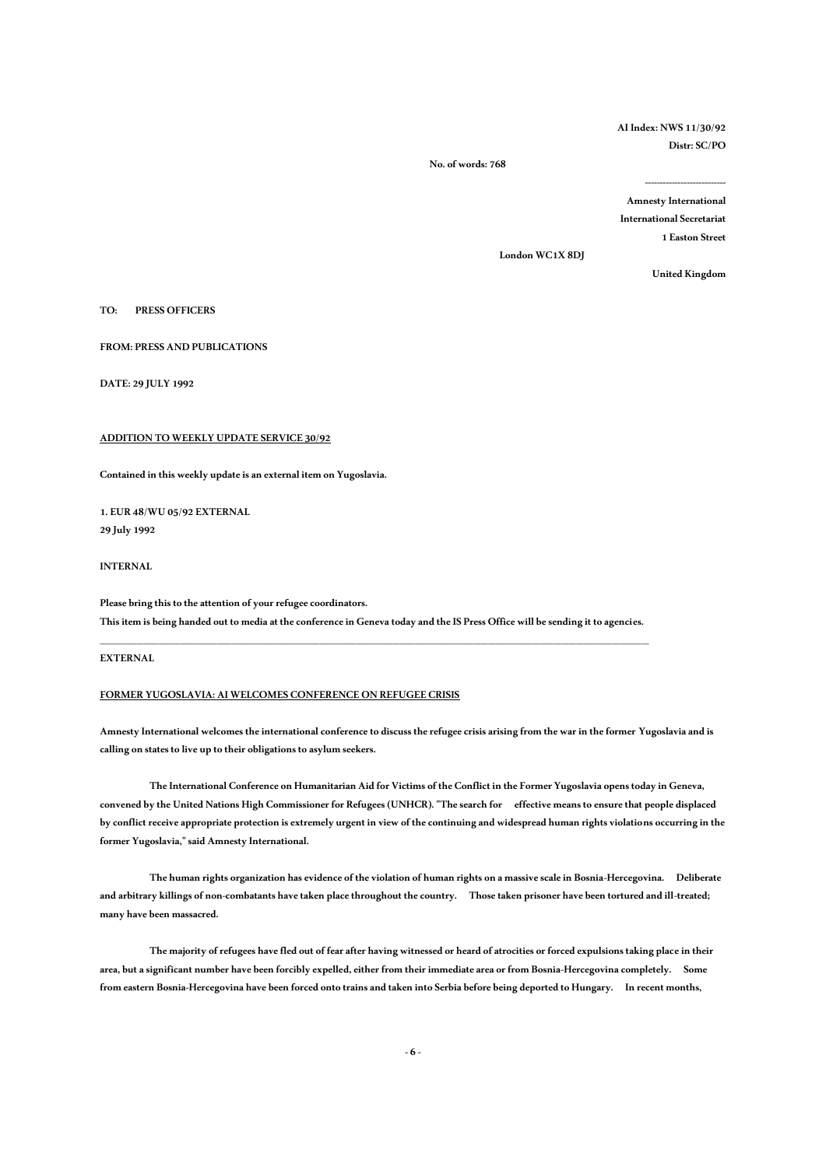**AI Index: NWS 11/30/92 Distr: SC/PO** 

 **No. of words: 768**

**--------------------------- Amnesty International International Secretariat 1 Easton Street** 

**London WC1X 8DJ** 

**United Kingdom** 

### **TO: PRESS OFFICERS**

**FROM: PRESS AND PUBLICATIONS**

**DATE: 29 JULY 1992**

## **ADDITION TO WEEKLY UPDATE SERVICE 30/92**

**Contained in this weekly update is an external item on Yugoslavia.**

**1. EUR 48/WU 05/92 EXTERNAL 29 July 1992**

## **INTERNAL**

**Please bring this to the attention of your refugee coordinators. This item is being handed out to media at the conference in Geneva today and the IS Press Office will be sending it to agencies.** 

**\_\_\_\_\_\_\_\_\_\_\_\_\_\_\_\_\_\_\_\_\_\_\_\_\_\_\_\_\_\_\_\_\_\_\_\_\_\_\_\_\_\_\_\_\_\_\_\_\_\_\_\_\_\_\_\_\_\_\_\_\_\_\_\_\_\_\_\_\_\_\_\_\_\_\_**

**EXTERNAL**

## **FORMER YUGOSLAVIA: AI WELCOMES CONFERENCE ON REFUGEE CRISIS**

**Amnesty International welcomes the international conference to discuss the refugee crisis arising from the war in the former Yugoslavia and is calling on states to live up to their obligations to asylum seekers.**

**The International Conference on Humanitarian Aid for Victims of the Conflict in the Former Yugoslavia opens today in Geneva, convened by the United Nations High Commissioner for Refugees (UNHCR). "The search for effective means to ensure that people displaced by conflict receive appropriate protection is extremely urgent in view of the continuing and widespread human rights violations occurring in the former Yugoslavia," said Amnesty International.**

**The human rights organization has evidence of the violation of human rights on a massive scale in Bosnia-Hercegovina. Deliberate and arbitrary killings of non-combatants have taken place throughout the country. Those taken prisoner have been tortured and ill-treated; many have been massacred.**

**The majority of refugees have fled out of fear after having witnessed or heard of atrocities or forced expulsions taking place in their area, but a significant number have been forcibly expelled, either from their immediate area or from Bosnia-Hercegovina completely. Some from eastern Bosnia-Hercegovina have been forced onto trains and taken into Serbia before being deported to Hungary. In recent months,**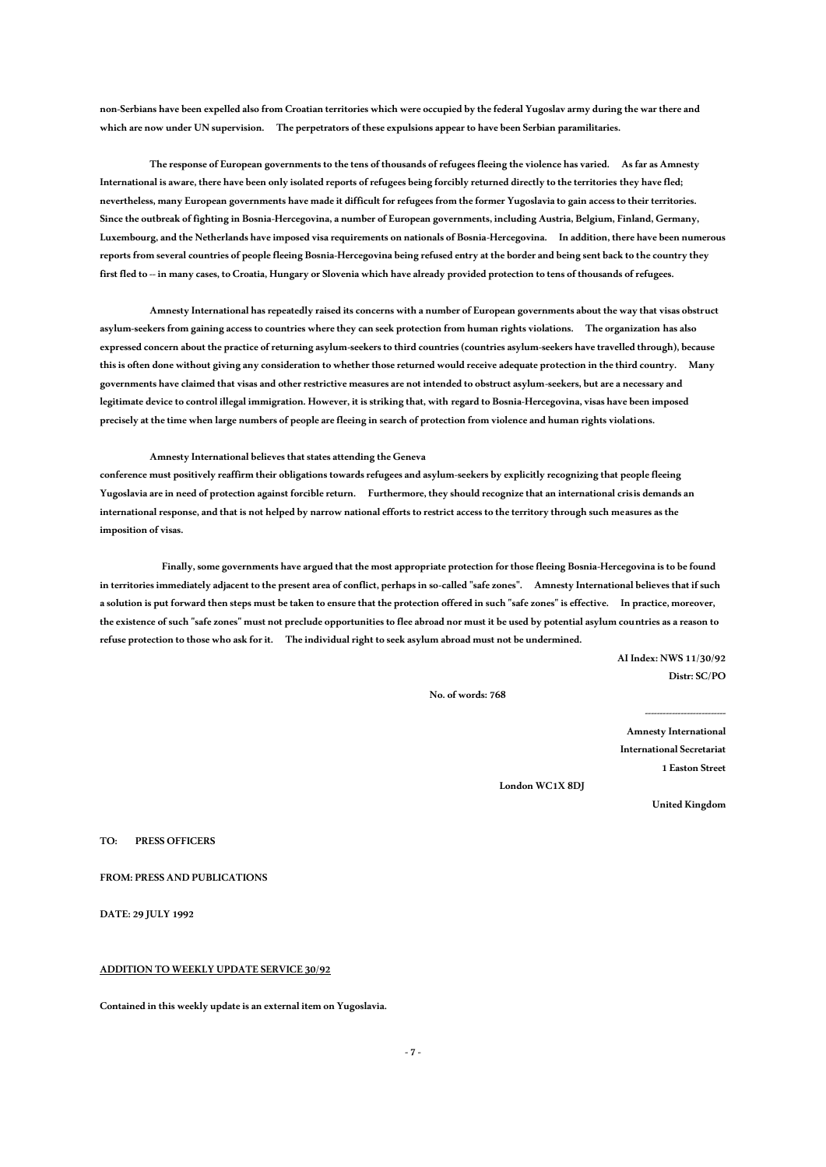**non-Serbians have been expelled also from Croatian territories which were occupied by the federal Yugoslav army during the war there and which are now under UN supervision. The perpetrators of these expulsions appear to have been Serbian paramilitaries.**

**The response of European governments tothe tens of thousands of refugees fleeing the violence has varied. As far as Amnesty International is aware, there have been only isolated reports of refugees being forcibly returned directly to the territories they have fled; nevertheless, many European governments have made it difficult for refugees from the former Yugoslavia to gain access to their territories. Since the outbreak of fighting in Bosnia-Hercegovina, a number of European governments, including Austria, Belgium, Finland, Germany, Luxembourg, and the Netherlands have imposed visa requirements on nationals of Bosnia-Hercegovina. In addition, there have been numerous reports from several countries of people fleeing Bosnia-Hercegovina being refused entry at the border and being sent back to the country they**  first fled to -- in many cases, to Croatia, Hungary or Slovenia which have already provided protection to tens of thousands of refugees.

**Amnesty International has repeatedly raised its concerns with a number of European governments about the way that visas obstruct asylum-seekers from gaining access to countries where they can seek protection from human rights violations. The organization has also expressed concern about the practice of returning asylum-seekers to third countries (countries asylum-seekers have travelled through), because this is often done without giving any consideration to whether those returned would receive adequate protection in the third country. Many governments have claimed that visas and other restrictive measures are not intended to obstruct asylum-seekers, but are a necessary and legitimate device to control illegal immigration. However, it is striking that, with regard to Bosnia-Hercegovina, visas have been imposed precisely at the time when large numbers of people are fleeing in search of protection from violence and human rights violations.** 

#### **Amnesty International believes that states attending the Geneva**

**conference must positively reaffirm their obligations towards refugees and asylum-seekers by explicitly recognizing that people fleeing Yugoslavia are in need of protection against forcible return. Furthermore, they should recognize that an international crisis demands an international response, and that is not helped by narrow national efforts to restrict access to the territory through such measures as the imposition of visas.**

 **Finally, some governments have argued that the most appropriate protection for those fleeing Bosnia-Hercegovina is to be found in territories immediately adjacent to the present area of conflict, perhaps in so-called "safe zones". Amnesty International believes that if such a solution is put forward then steps must be taken to ensure that the protection offered in such "safe zones" is effective. In practice, moreover, the existence of such "safe zones" must not preclude opportunities to flee abroad nor must it be used by potential asylum countries as a reason to refuse protection to those who ask for it. The individual right to seek asylum abroad must not be undermined.** 

> **AI Index: NWS 11/30/92 Distr: SC/PO**

 **No. of words: 768**

**Amnesty International International Secretariat 1 Easton Street** 

**---------------------------**

**London WC1X 8DJ** 

**United Kingdom** 

**TO: PRESS OFFICERS** 

**FROM: PRESS AND PUBLICATIONS**

**DATE: 29 JULY 1992**

## **ADDITION TO WEEKLY UPDATE SERVICE 30/92**

**Contained in this weekly update is an external item on Yugoslavia.**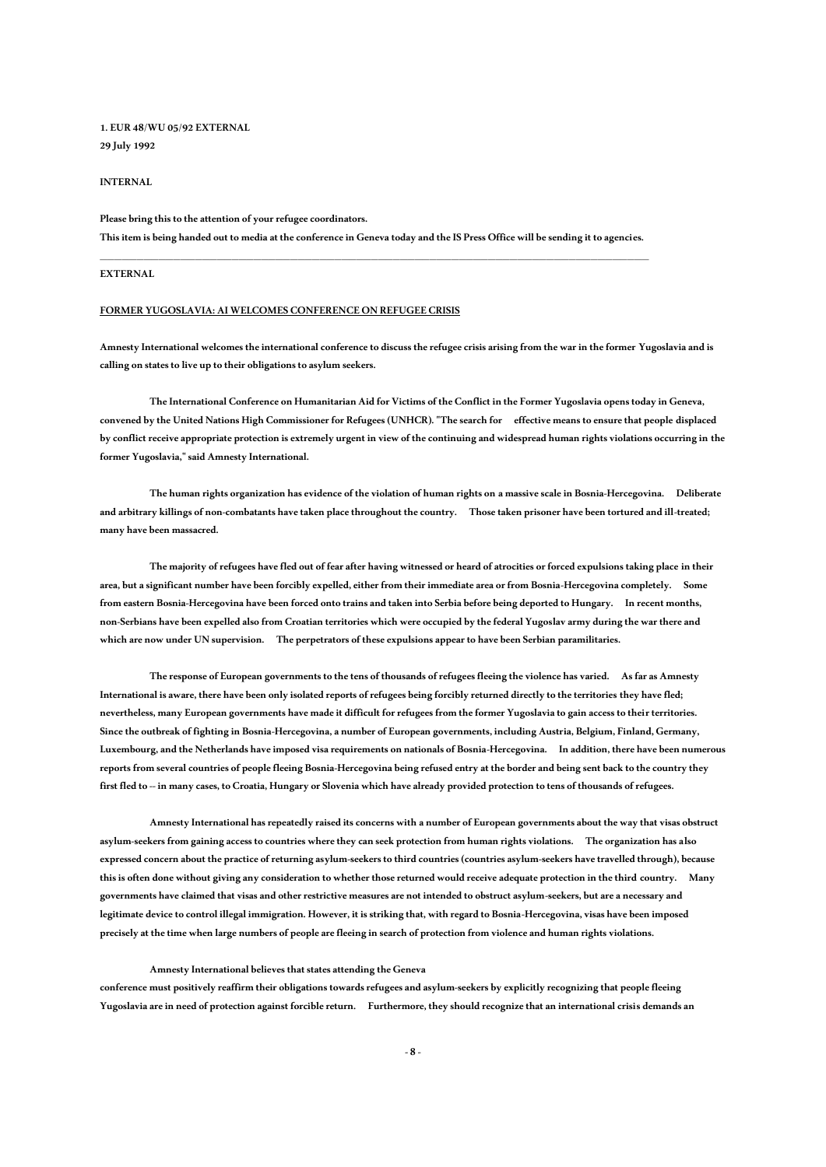# **1. EUR 48/WU 05/92 EXTERNAL 29 July 1992**

#### **INTERNAL**

**Please bring this to the attention of your refugee coordinators. This item is being handed out to media at the conference in Geneva today and the IS Press Office will be sending it to agencies.** 

**\_\_\_\_\_\_\_\_\_\_\_\_\_\_\_\_\_\_\_\_\_\_\_\_\_\_\_\_\_\_\_\_\_\_\_\_\_\_\_\_\_\_\_\_\_\_\_\_\_\_\_\_\_\_\_\_\_\_\_\_\_\_\_\_\_\_\_\_\_\_\_\_\_\_\_**

## **EXTERNAL**

#### **FORMER YUGOSLAVIA: AI WELCOMES CONFERENCE ON REFUGEE CRISIS**

**Amnesty International welcomes the international conference to discuss the refugee crisis arising from the war in the former Yugoslavia and is calling on states to live up to their obligations to asylum seekers.**

**The International Conference on Humanitarian Aid for Victims of the Conflict in the Former Yugoslavia opens today in Geneva, convened by the United Nations High Commissioner for Refugees (UNHCR). "The search for effective means to ensure that people displaced by conflict receive appropriate protection is extremely urgent in view of the continuing and widespread human rights violations occurring in the former Yugoslavia," said Amnesty International.**

**The human rights organization has evidence of the violation of human rights on a massive scale in Bosnia-Hercegovina. Deliberate and arbitrary killings of non-combatants have taken place throughout the country. Those taken prisoner have been tortured and ill-treated; many have been massacred.**

**The majority of refugees have fled out of fear after having witnessed or heard of atrocities or forced expulsions taking place in their area, but a significant number have been forcibly expelled, either from their immediate area or from Bosnia-Hercegovina completely. Some from eastern Bosnia-Hercegovina have been forced onto trains and taken into Serbia before being deported to Hungary. In recent months, non-Serbians have been expelled also from Croatian territories which were occupied by the federal Yugoslav army during the war there and which are now under UN supervision. The perpetrators of these expulsions appear to have been Serbian paramilitaries.**

**The response of European governments to the tens of thousands of refugees fleeing the violence has varied. As far as Amnesty International is aware, there have been only isolated reports of refugees being forcibly returned directly to the territories they have fled; nevertheless, many European governments have made it difficult for refugees from the former Yugoslavia to gain access to their territories. Since the outbreak of fighting in Bosnia-Hercegovina, a number of European governments, including Austria, Belgium, Finland, Germany, Luxembourg, and the Netherlands have imposed visa requirements on nationals of Bosnia-Hercegovina. In addition, there have been numerous reports from several countries of people fleeing Bosnia-Hercegovina being refused entryat the border and being sent back to the country they**  first fled to -- in many cases, to Croatia, Hungary or Slovenia which have already provided protection to tens of thousands of refugees.

**Amnesty International has repeatedly raised its concerns with a number of European governments about the way that visas obstruct asylum-seekers from gaining access to countries where they can seek protection from human rights violations. The organization has also expressed concern about the practice of returning asylum-seekers to third countries (countries asylum-seekers have travelled through), because this is often done without giving any consideration to whether those returned would receive adequate protection in the third country. Many governments have claimed that visas and other restrictive measures are not intended to obstruct asylum-seekers, but are a necessary and legitimate device to control illegal immigration. However, it is striking that, with regard to Bosnia-Hercegovina, visas have been imposed precisely at the time when large numbers of people are fleeing in search of protection from violence and human rights violations.** 

#### **Amnesty International believes that states attending the Geneva**

**conference must positively reaffirm their obligations towards refugees and asylum-seekers by explicitly recognizing that people fleeing Yugoslavia are in need of protection against forcible return. Furthermore, they should recognize that an international crisis demands an**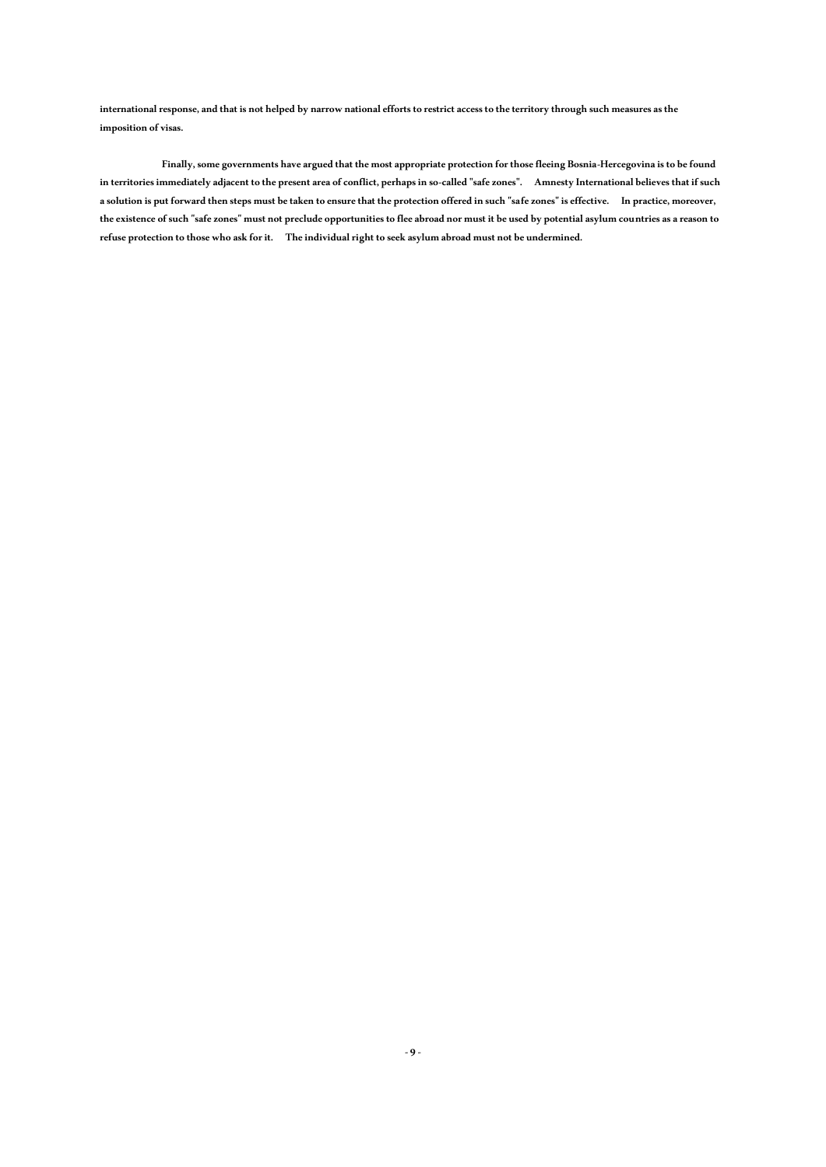**international response, and that is not helped by narrow national efforts to restrict access to the territory through such measures as the imposition of visas.**

 **Finally, some governments have argued that the most appropriate protection for those fleeing Bosnia-Hercegovina is to befound in territories immediately adjacent to the present area of conflict, perhaps in so-called "safe zones". Amnesty International believes that if such a solution is put forward then steps must be taken to ensure that the protection offered in such "safe zones" is effective. In practice, moreover, the existence of such "safe zones" must not preclude opportunities to flee abroad nor must it be used by potential asylum countries as a reason to refuse protection to those who ask for it. The individual right to seek asylum abroad must not be undermined.**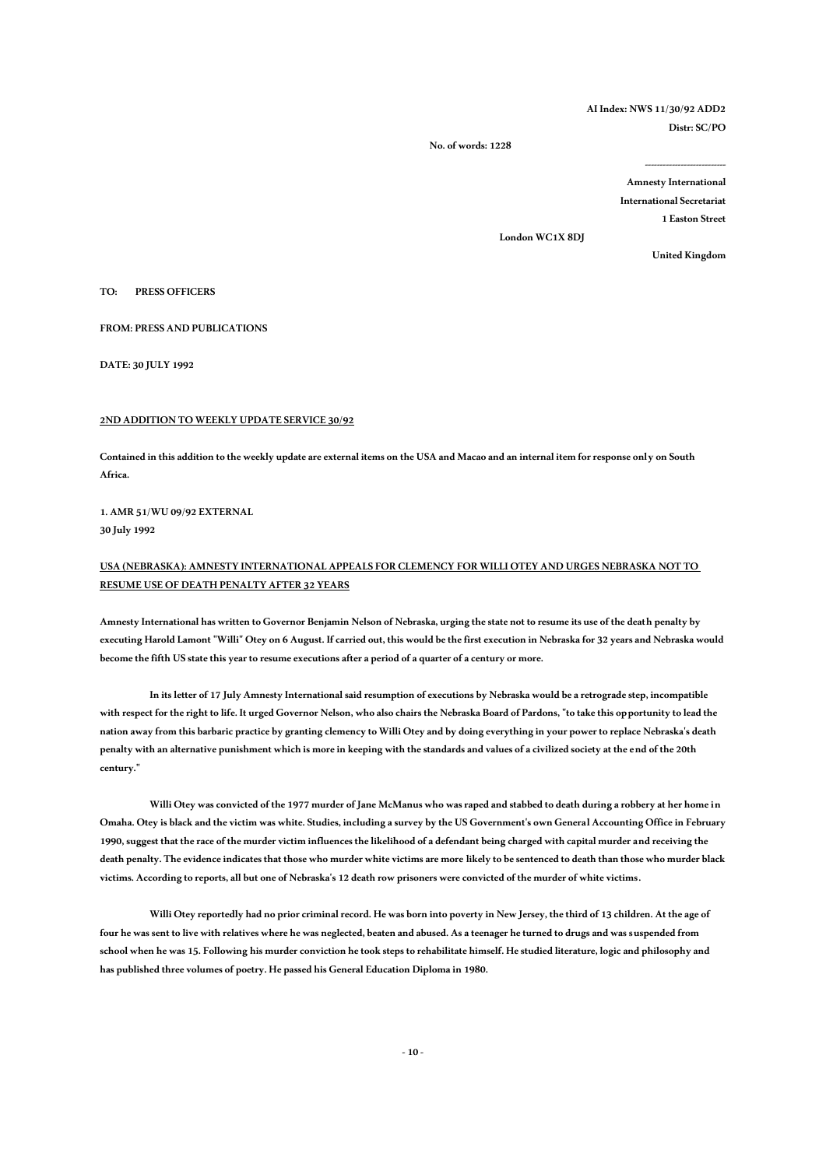# **AI Index: NWS 11/30/92 ADD2 Distr: SC/PO**

 **No. of words: 1228**

**Amnesty International International Secretariat 1 Easton Street** 

**---------------------------**

**London WC1X 8DJ** 

**United Kingdom** 

**TO: PRESS OFFICERS** 

**FROM: PRESS AND PUBLICATIONS**

**DATE: 30 JULY 1992**

## **2ND ADDITION TO WEEKLY UPDATE SERVICE 30/92**

**Contained in this addition to the weekly update are external items on the USA and Macao and an internal item for response only on South Africa.**

**1. AMR 51/WU 09/92 EXTERNAL 30 July 1992**

# **USA (NEBRASKA): AMNESTY INTERNATIONAL APPEALS FOR CLEMENCY FOR WILLI OTEY AND URGES NEBRASKA NOT TO RESUME USE OF DEATH PENALTY AFTER 32 YEARS**

**Amnesty International has written to Governor Benjamin Nelson of Nebraska, urging the state not to resume its use of the death penalty by executing Harold Lamont "Willi" Otey on 6 August. If carried out, this would be the first execution in Nebraska for 32 years and Nebraska would become the fifth US state this year to resume executions after a period of a quarter of a century or more.**

**In its letter of 17 July Amnesty International said resumption of executions by Nebraska would be a retrograde step, incompatible with respect for the right to life. It urged Governor Nelson, who also chairs the Nebraska Board of Pardons, "to take this opportunity to lead the nation away from this barbaric practice by granting clemency to Willi Otey and by doing everything in your power to replace Nebraska's death penalty with an alternative punishment which is more in keeping with the standards and values of a civilized society at the end of the 20th century."**

**Willi Otey was convicted of the 1977 murder of Jane McManus who was raped and stabbed to death during a robbery at her home in Omaha. Otey is black and the victim was white. Studies, including a survey by the US Government's own General Accounting Office in February 1990, suggest that the race of the murder victim influences the likelihood of a defendant being charged with capital murder and receiving the death penalty. The evidence indicates that those who murder white victims are more likely to be sentenced to death than those who murder black victims. According to reports, all but one of Nebraska's 12 death row prisoners were convicted of the murder of white victims.**

**Willi Otey reportedly had no prior criminal record. He was born into poverty in New Jersey, the third of 13 children. At the age of four he was sent to live with relatives where he was neglected, beaten and abused. As a teenager he turned to drugs and was suspended from school when he was 15. Following his murder conviction he took steps to rehabilitate himself. He studied literature, logic and philosophy and has published three volumes of poetry. He passed his General Education Diploma in 1980.**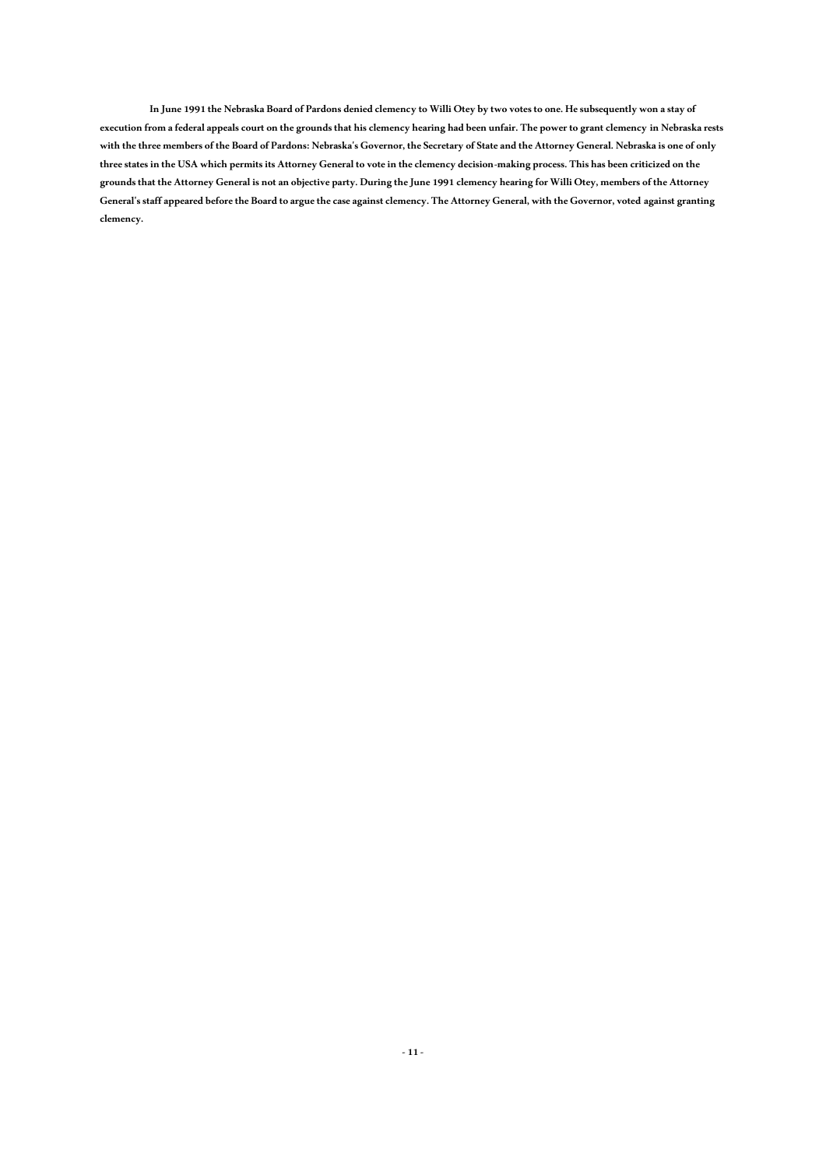**In June 1991 the Nebraska Board of Pardons denied clemency to Willi Otey by two votes to one. He subsequently won a stay of execution from a federal appeals court on the grounds that his clemency hearing had been unfair. The power to grant clemency in Nebraska rests with the three members of the Board of Pardons: Nebraska's Governor, the Secretary of State and the Attorney General. Nebraska is one of only three states in the USA which permits its Attorney General to vote in the clemency decision-making process. This has been criticized on the grounds that the Attorney General is not an objective party. During the June 1991 clemency hearing for Willi Otey, members of the Attorney General's staff appeared before the Board to argue the case against clemency. The Attorney General, with the Governor, voted against granting clemency.**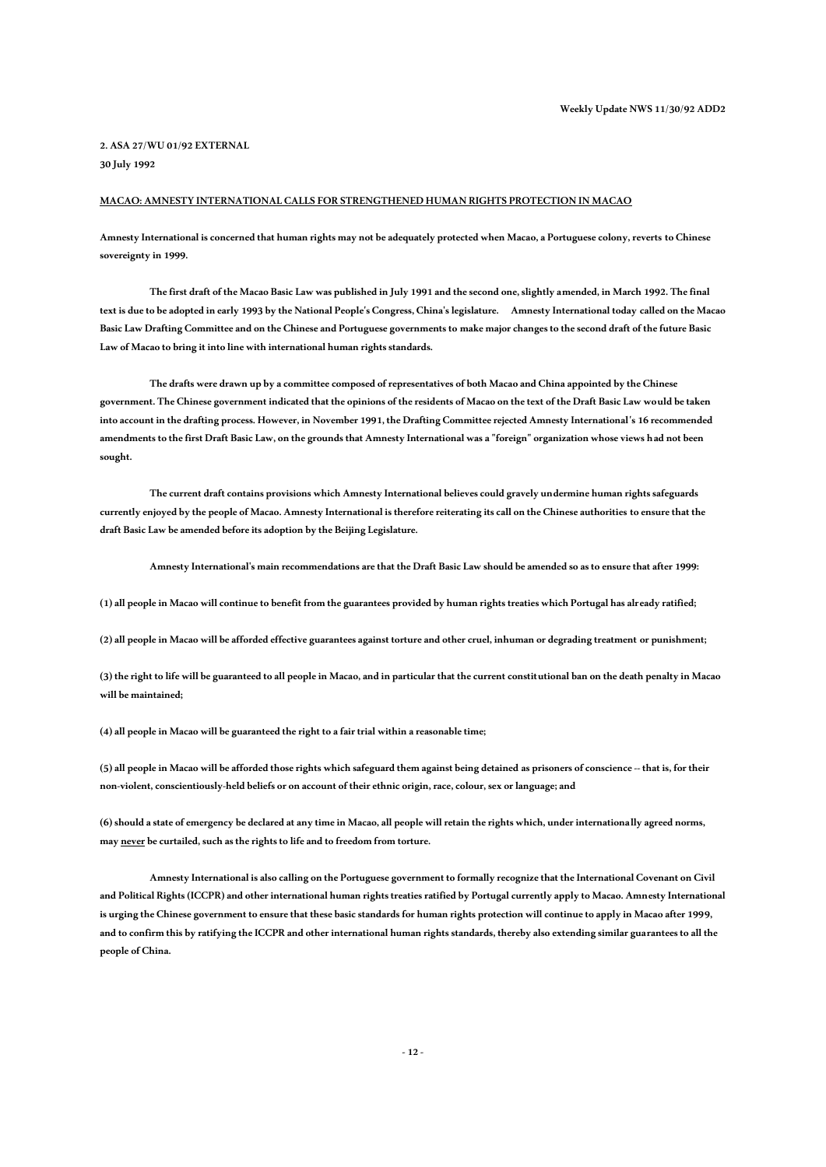# **2. ASA 27/WU 01/92 EXTERNAL 30 July 1992**

# **MACAO: AMNESTY INTERNATIONAL CALLS FOR STRENGTHENED HUMAN RIGHTS PROTECTION IN MACAO**

**Amnesty International is concerned that human rights may not be adequately protected when Macao, a Portuguese colony, reverts to Chinese sovereignty in 1999.** 

**The first draft of the Macao Basic Law was published in July 1991 and the second one, slightly amended, in March 1992. The final text is due to be adopted in early 1993 by the National People's Congress, China's legislature. Amnesty International today called on the Macao Basic Law Drafting Committee and on the Chinese and Portuguese governments to make major changes to the second draft of the future Basic Law of Macao to bring it into line with international human rights standards.**

**The drafts were drawn up by a committee composed of representatives of both Macao and China appointed by the Chinese government. The Chinese government indicated that the opinions of the residents of Macao on the text of the Draft Basic Law would be taken into account in the drafting process. However, in November 1991, the Drafting Committee rejected Amnesty International's 16 recommended amendments to the first Draft Basic Law, on the grounds that Amnesty International was a "foreign" organization whose views had not been sought.** 

**The current draft contains provisions which Amnesty International believes could gravely undermine human rights safeguards currently enjoyed by the people of Macao. Amnesty International is therefore reiterating its call on the Chinese authorities to ensure that the draft Basic Law be amended before its adoption by the Beijing Legislature.**

**Amnesty International's main recommendations are that the Draft Basic Law should be amended so as to ensure that after 1999:**

**(1) all people in Macao will continue to benefit from the guarantees provided by human rights treaties which Portugal has already ratified;**

**(2) all people in Macao will be afforded effective guarantees against torture and other cruel, inhuman or degrading treatment or punishment;**

**(3) the right to life will be guaranteed to all people in Macao, and in particular that the current constitutional ban on the death penalty in Macao will be maintained;**

**(4) all people in Macao will be guaranteed the right to a fair trial within a reasonable time;**

**(5) all people in Macao will be afforded those rights which safeguard them against being detainedas prisoners of conscience -- that is, for their non-violent, conscientiously-held beliefs or on account of their ethnic origin, race, colour, sex or language; and**

**(6) should a state of emergency be declared at any time in Macao, all people will retain the rights which, under internationally agreed norms,**  may never be curtailed, such as the rights to life and to freedom from torture.

**Amnesty International is also calling on the Portuguese government to formally recognize that the International Covenant on Civil and Political Rights (ICCPR) and other international human rights treaties ratified by Portugal currently apply to Macao. Amnesty International is urging the Chinese government to ensure that these basic standards for human rights protection will continue to apply in Macao after 1999, and to confirm this by ratifying the ICCPR and other international human rights standards, thereby also extending similar guarantees to all the people of China.**